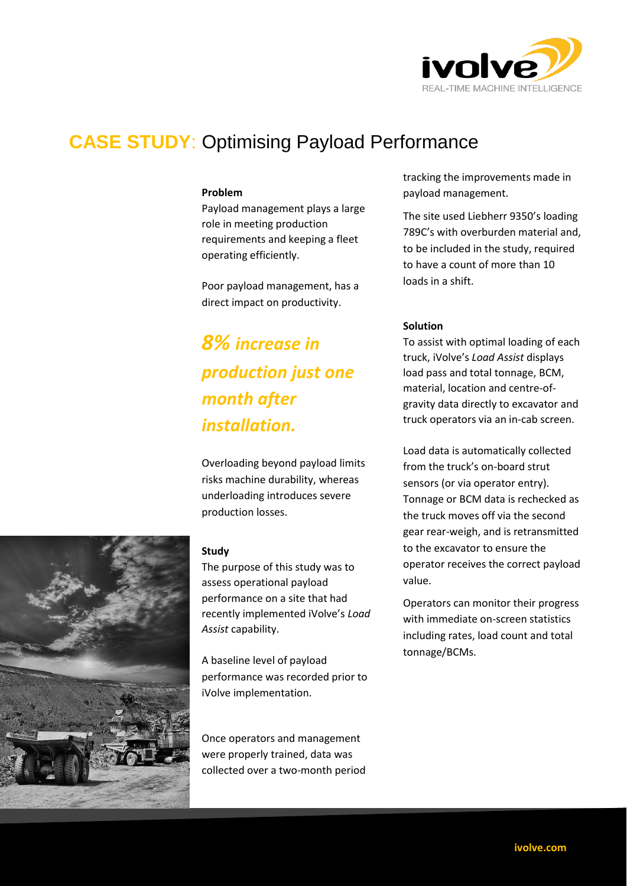

## **CASE STUDY**: Optimising Payload Performance

#### **Problem**

Payload management plays a large role in meeting production requirements and keeping a fleet operating efficiently.

Poor payload management, has a direct impact on productivity.

# *8% increase in production just one month after installation.*

Overloading beyond payload limits risks machine durability, whereas underloading introduces severe production losses.

#### **Study**

The purpose of this study was to assess operational payload performance on a site that had recently implemented iVolve's *Load Assist* capability.

A baseline level of payload performance was recorded prior to iVolve implementation.

Once operators and management were properly trained, data was collected over a two-month period tracking the improvements made in payload management.

The site used Liebherr 9350's loading 789C's with overburden material and, to be included in the study, required to have a count of more than 10 loads in a shift.

#### **Solution**

To assist with optimal loading of each truck, iVolve's *Load Assist* displays load pass and total tonnage, BCM, material, location and centre-ofgravity data directly to excavator and truck operators via an in-cab screen.

Load data is automatically collected from the truck's on-board strut sensors (or via operator entry). Tonnage or BCM data is rechecked as the truck moves off via the second gear rear-weigh, and is retransmitted to the excavator to ensure the operator receives the correct payload value.

Operators can monitor their progress with immediate on-screen statistics including rates, load count and total tonnage/BCMs.

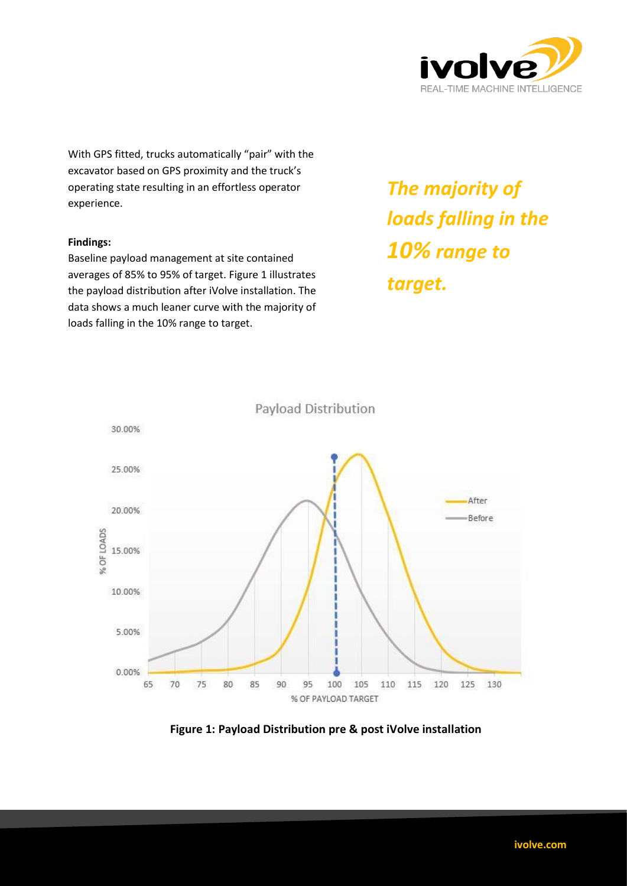

With GPS fitted, trucks automatically "pair" with the excavator based on GPS proximity and the truck's operating state resulting in an effortless operator experience.

#### **Findings:**

Baseline payload management at site contained averages of 85% to 95% of target. Figure 1 illustrates the payload distribution after iVolve installation. The data shows a much leaner curve with the majority of loads falling in the 10% range to target.

*The majority of loads falling in the 10% range to target.* 



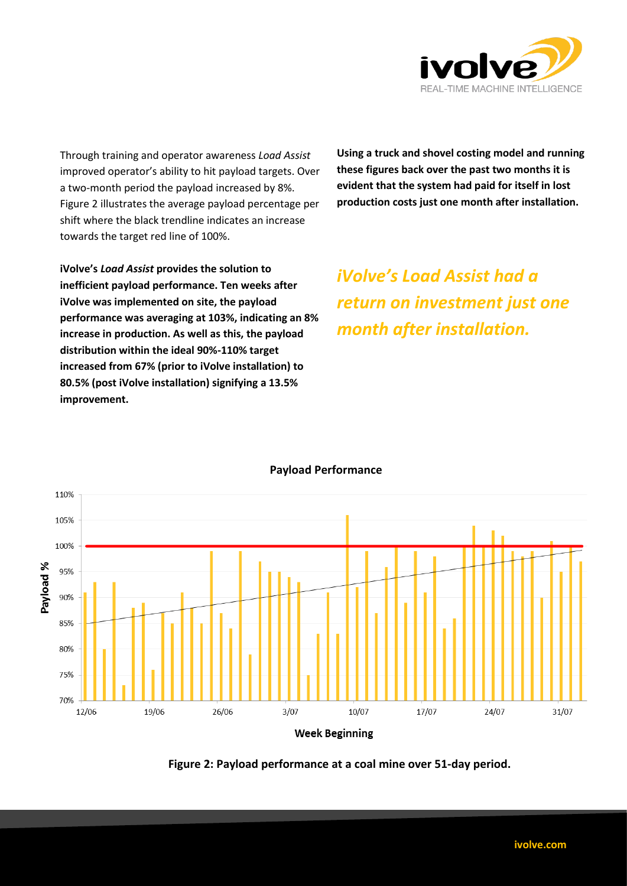

Through training and operator awareness *Load Assist* improved operator's ability to hit payload targets. Over a two-month period the payload increased by 8%. Figure 2 illustrates the average payload percentage per shift where the black trendline indicates an increase towards the target red line of 100%.

**Using a truck and shovel costing model and running these figures back over the past two months it is evident that the system had paid for itself in lost production costs just one month after installation.** 

**iVolve's** *Load Assist* **provides the solution to inefficient payload performance. Ten weeks after iVolve was implemented on site, the payload performance was averaging at 103%, indicating an 8% increase in production. As well as this, the payload distribution within the ideal 90%-110% target increased from 67% (prior to iVolve installation) to 80.5% (post iVolve installation) signifying a 13.5% improvement.** 

*iVolve's Load Assist had a return on investment just one month after installation.*



### **Payload Performance**

**Figure 2: Payload performance at a coal mine over 51-day period.**